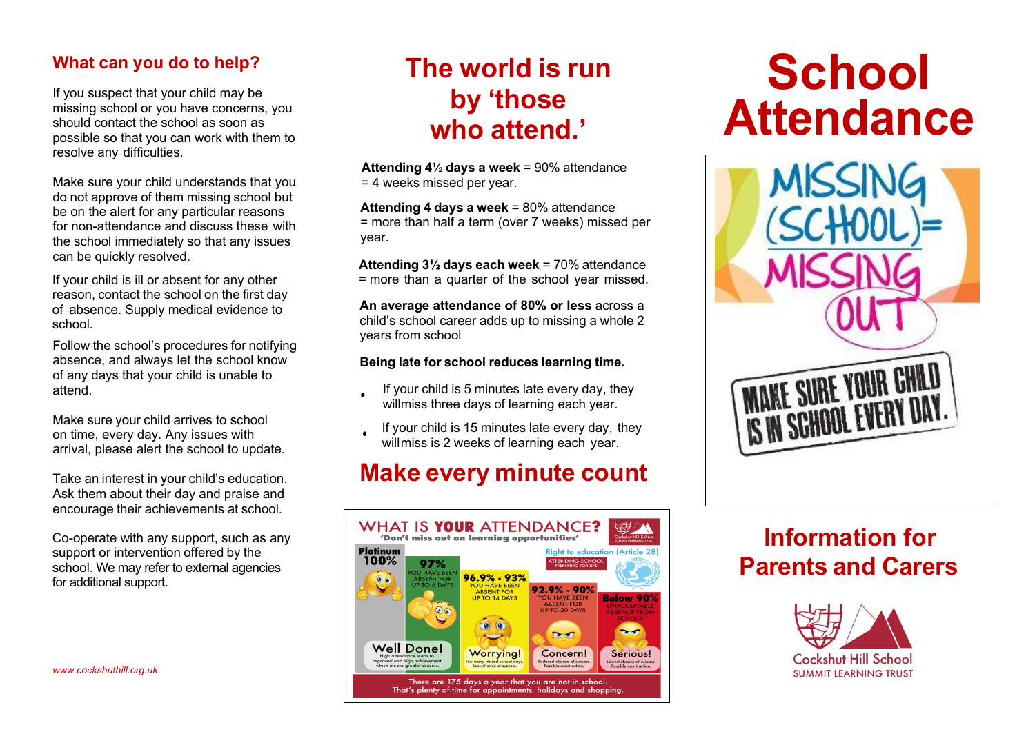#### **What can you do to help?**

If you suspect that your child may be missing school or you have concerns, you should contact the school as soon as possible so that you can work with them to resolve any difficulties.

Make sure your child understands that you do not approve of them missing school but be on the alert for any particular reasons for non-attendance and discuss these with the school immediately so that any issues can be quickly resolved.

If your child is ill or absent for any other reason, contact the school on the first day of absence. Supply medical evidence to school.

Follow the school's procedures for notifying absence, and always let the school know of any days that your child is unable to attend.

Make sure your child arrives to school on time, every day. Any issues with arrival, please alert the school to update.

Take an interest in your child's education. Ask them about their day and praise and encourage their achievements at school.

Co-operate with any support, such as any support or intervention offered by the school. We may refer to external agencies for additional support.

*www.cockshuthill.org.uk*

## **The world is run by 'those who attend.'**

**Attending school every day** = 100% attendance **Attending 4½ days a week** = 90% attendance = 4 weeks missed per year.

**Attending 4 days a week** = 80% attendance = more than half a term (over 7 weeks) missed per year.

**Attending 3½ days each week** = 70% attendance = more than a quarter of the school year missed.

**An average attendance of 80% or less** across a child's school career adds up to missing a whole 2 years from school

#### **Being late for school reduces learning time.**

- If your child is 5 minutes late every day, they willmiss three days of learning each year.
- If your child is 15 minutes late every day, they will miss is 2 weeks of learning each year.

## **Make every minute count**



# **School Attendance**



## **Information for Parents and Carers**